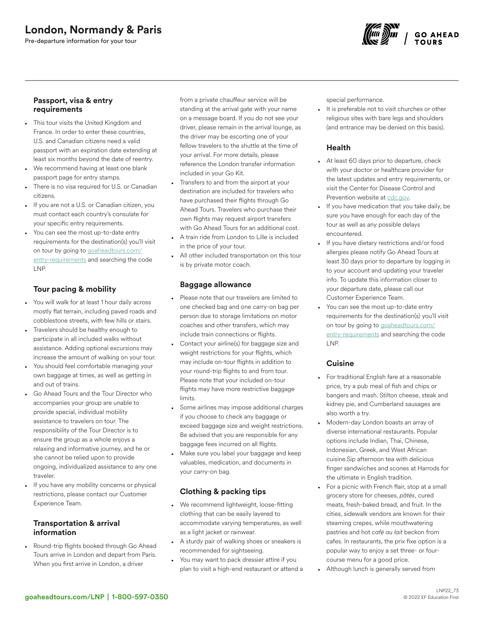# London, Normandy & Paris

Pre-departure information for your tour



### Passport, visa & entry requirements

- This tour visits the United Kingdom and France. In order to enter these countries, U.S. and Canadian citizens need a valid passport with an expiration date extending at least six months beyond the date of reentry.
- We recommend having at least one blank passport page for entry stamps.
- There is no visa required for U.S. or Canadian citizens.
- If you are not a U.S. or Canadian citizen, you must contact each country's consulate for your specific entry requirements.
- You can see the most up-to-date entry requirements for the destination(s) you'll visit on tour by going to [goaheadtours.com/](/entry-requirements?tourCode=LNP) [entry-requirements](/entry-requirements?tourCode=LNP) and searching the code LNP.

## Tour pacing & mobility

- You will walk for at least 1 hour daily across mostly flat terrain, including paved roads and cobblestone streets, with few hills or stairs.
- Travelers should be healthy enough to participate in all included walks without assistance. Adding optional excursions may increase the amount of walking on your tour.
- You should feel comfortable managing your own baggage at times, as well as getting in and out of trains.
- Go Ahead Tours and the Tour Director who accompanies your group are unable to provide special, individual mobility assistance to travelers on tour. The responsibility of the Tour Director is to ensure the group as a whole enjoys a relaxing and informative journey, and he or she cannot be relied upon to provide ongoing, individualized assistance to any one traveler.
- If you have any mobility concerns or physical restrictions, please contact our Customer Experience Team.

### Transportation & arrival information

• Round-trip flights booked through Go Ahead Tours arrive in London and depart from Paris. When you first arrive in London, a driver

from a private chauffeur service will be standing at the arrival gate with your name on a message board. If you do not see your driver, please remain in the arrival lounge, as the driver may be escorting one of your fellow travelers to the shuttle at the time of your arrival. For more details, please reference the London transfer information included in your Go Kit.

- Transfers to and from the airport at your destination are included for travelers who have purchased their flights through Go Ahead Tours. Travelers who purchase their own flights may request airport transfers with Go Ahead Tours for an additional cost.
- A train ride from London to Lille is included in the price of your tour.
- All other included transportation on this tour is by private motor coach.

### Baggage allowance

- Please note that our travelers are limited to one checked bag and one carry-on bag per person due to storage limitations on motor coaches and other transfers, which may include train connections or flights.
- Contact your airline(s) for baggage size and weight restrictions for your flights, which may include on-tour flights in addition to your round-trip flights to and from tour. Please note that your included on-tour flights may have more restrictive baggage limits.
- Some airlines may impose additional charges if you choose to check any baggage or exceed baggage size and weight restrictions. Be advised that you are responsible for any baggage fees incurred on all flights.
- Make sure you label your baggage and keep valuables, medication, and documents in your carry-on bag.

## Clothing & packing tips

- We recommend lightweight, loose-fitting clothing that can be easily layered to accommodate varying temperatures, as well as a light jacket or rainwear.
- A sturdy pair of walking shoes or sneakers is recommended for sightseeing.
- You may want to pack dressier attire if you plan to visit a high-end restaurant or attend a

special performance.

It is preferable not to visit churches or other religious sites with bare legs and shoulders (and entrance may be denied on this basis).

## Health

- At least 60 days prior to departure, check with your doctor or healthcare provider for the latest updates and entry requirements, or visit the Center for Disease Control and Prevention website at [cdc.gov.](https://www.cdc.gov/)
- If you have medication that you take daily, be sure you have enough for each day of the tour as well as any possible delays encountered.
- If you have dietary restrictions and/or food allergies please notify Go Ahead Tours at least 30 days prior to departure by logging in to your account and updating your traveler info. To update this information closer to your departure date, please call our Customer Experience Team.
- You can see the most up-to-date entry requirements for the destination(s) you'll visit on tour by going to [goaheadtours.com/](/entry-requirements?tourCode=LNP) [entry-requirements](/entry-requirements?tourCode=LNP) and searching the code LNP.

## **Cuisine**

- For traditional English fare at a reasonable price, try a pub meal of fish and chips or bangers and mash. Stilton cheese, steak and kidney pie, and Cumberland sausages are also worth a try.
- Modern-day London boasts an array of diverse international restaurants. Popular options include Indian, Thai, Chinese, Indonesian, Greek, and West African cuisine.Sip afternoon tea with delicious finger sandwiches and scones at Harrods for the ultimate in English tradition.
- For a picnic with French flair, stop at a small grocery store for cheeses, *pâtés*, cured meats, fresh-baked bread, and fruit. In the cities, sidewalk vendors are known for their steaming crepes, while mouthwatering pastries and hot *café au lait* beckon from cafes. In restaurants, the prix fixe option is a popular way to enjoy a set three- or fourcourse menu for a good price.
- Although lunch is generally served from